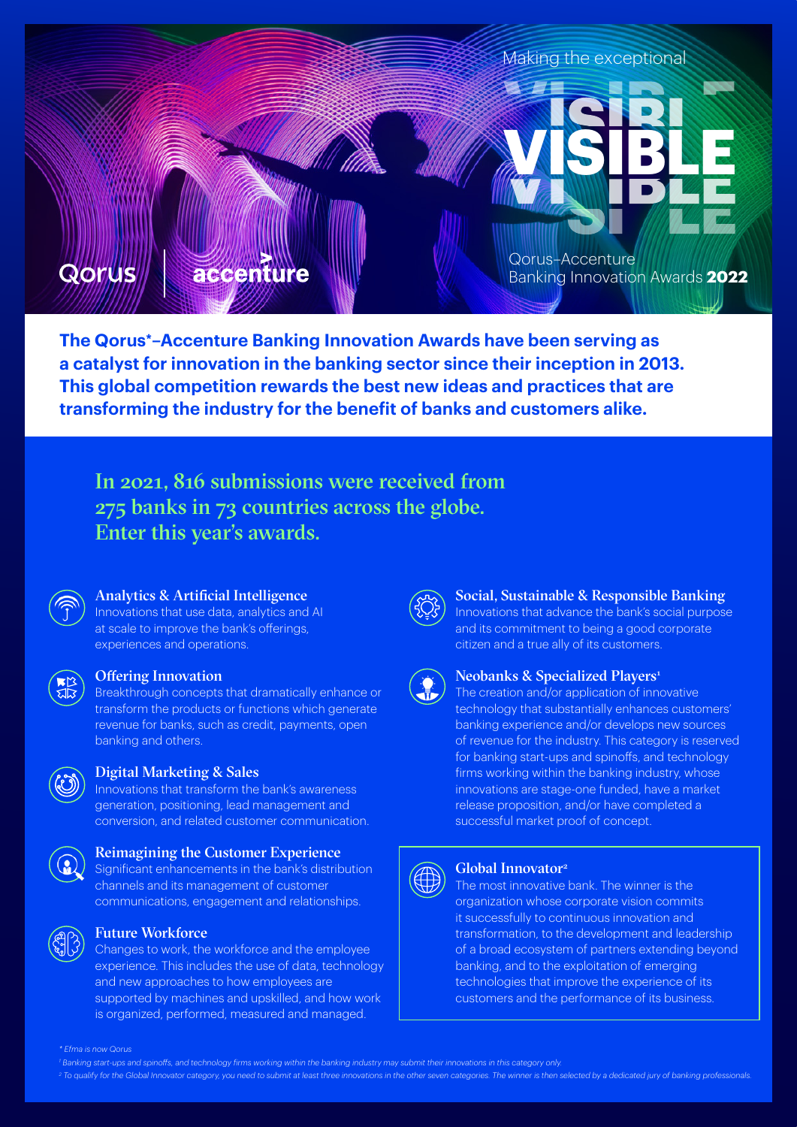

**The Qorus\*–Accenture Banking Innovation Awards have been serving as a catalyst for innovation in the banking sector since their inception in 2013. This global competition rewards the best new ideas and practices that are transforming the industry for the benefit of banks and customers alike.**

In 2021, 816 submissions were received from 275 banks in 73 countries across the globe. Enter this year's awards.



### Analytics & Artificial Intelligence

Innovations that use data, analytics and AI at scale to improve the bank's offerings, experiences and operations.



#### Offering Innovation

Breakthrough concepts that dramatically enhance or transform the products or functions which generate revenue for banks, such as credit, payments, open banking and others.



#### Digital Marketing & Sales

Innovations that transform the bank's awareness generation, positioning, lead management and conversion, and related customer communication.

#### Reimagining the Customer Experience

Significant enhancements in the bank's distribution channels and its management of customer communications, engagement and relationships.



## Future Workforce

Changes to work, the workforce and the employee experience. This includes the use of data, technology and new approaches to how employees are supported by machines and upskilled, and how work is organized, performed, measured and managed.



## Social, Sustainable & Responsible Banking

Innovations that advance the bank's social purpose and its commitment to being a good corporate citizen and a true ally of its customers.



#### Neobanks & Specialized Players<sup>1</sup>

The creation and/or application of innovative technology that substantially enhances customers' banking experience and/or develops new sources of revenue for the industry. This category is reserved for banking start-ups and spinoffs, and technology firms working within the banking industry, whose innovations are stage-one funded, have a market release proposition, and/or have completed a successful market proof of concept.



#### Global Innovator2

The most innovative bank. The winner is the organization whose corporate vision commits it successfully to continuous innovation and transformation, to the development and leadership of a broad ecosystem of partners extending beyond banking, and to the exploitation of emerging technologies that improve the experience of its customers and the performance of its business.

*1 Banking start-ups and spinoffs, and technology firms working within the banking industry may submit their innovations in this category only.*

<sup>2</sup> To qualify for the Global Innovator category, you need to submit at least three innovations in the other seven categories. The winner is then selected by a dedicated jury of banking professionals.